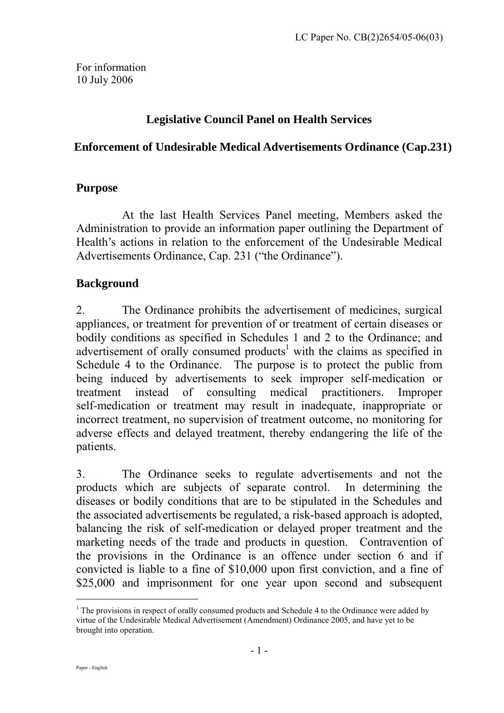For information 10 July 2006

# **Legislative Council Panel on Health Services**

#### **Enforcement of Undesirable Medical Advertisements Ordinance (Cap.231)**

#### **Purpose**

At the last Health Services Panel meeting, Members asked the Administration to provide an information paper outlining the Department of Health's actions in relation to the enforcement of the Undesirable Medical Advertisements Ordinance, Cap. 231 ("the Ordinance").

#### **Background**

2. The Ordinance prohibits the advertisement of medicines, surgical appliances, or treatment for prevention of or treatment of certain diseases or bodily conditions as specified in Schedules 1 and 2 to the Ordinance; and advertisement of orally consumed products<sup>[1](#page-0-0)</sup> with the claims as specified in Schedule 4 to the Ordinance. The purpose is to protect the public from being induced by advertisements to seek improper self-medication or treatment instead of consulting medical practitioners. Improper self-medication or treatment may result in inadequate, inappropriate or incorrect treatment, no supervision of treatment outcome, no monitoring for adverse effects and delayed treatment, thereby endangering the life of the patients.

3. The Ordinance seeks to regulate advertisements and not the products which are subjects of separate control. In determining the diseases or bodily conditions that are to be stipulated in the Schedules and the associated advertisements be regulated, a risk-based approach is adopted, balancing the risk of self-medication or delayed proper treatment and the marketing needs of the trade and products in question. Contravention of the provisions in the Ordinance is an offence under section 6 and if convicted is liable to a fine of \$10,000 upon first conviction, and a fine of \$25,000 and imprisonment for one year upon second and subsequent

 $\overline{a}$ 

<span id="page-0-0"></span><sup>&</sup>lt;sup>1</sup> The provisions in respect of orally consumed products and Schedule 4 to the Ordinance were added by virtue of the Undesirable Medical Advertisement (Amendment) Ordinance 2005, and have yet to be brought into operation.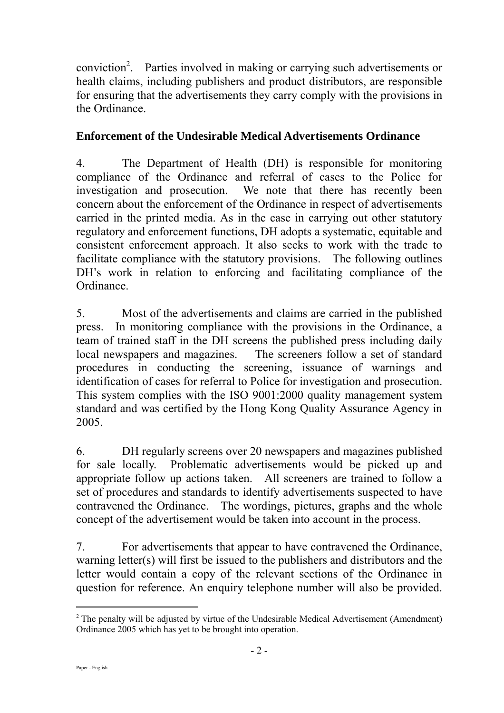conviction [2](#page-1-0) . Parties involved in making or carrying such advertisements or health claims, including publishers and product distributors, are responsible for ensuring that the advertisements they carry comply with the provisions in the Ordinance.

### **Enforcement of the Undesirable Medical Advertisements Ordinance**

4. The Department of Health (DH) is responsible for monitoring compliance of the Ordinance and referral of cases to the Police for investigation and prosecution. We note that there has recently been concern about the enforcement of the Ordinance in respect of advertisements carried in the printed media. As in the case in carrying out other statutory regulatory and enforcement functions, DH adopts a systematic, equitable and consistent enforcement approach. It also seeks to work with the trade to facilitate compliance with the statutory provisions. The following outlines DH's work in relation to enforcing and facilitating compliance of the Ordinance.

5. Most of the advertisements and claims are carried in the published press. In monitoring compliance with the provisions in the Ordinance, a team of trained staff in the DH screens the published press including daily local newspapers and magazines. The screeners follow a set of standard procedures in conducting the screening, issuance of warnings and identification of cases for referral to Police for investigation and prosecution. This system complies with the ISO 9001:2000 quality management system standard and was certified by the Hong Kong Quality Assurance Agency in 2005.

6. DH regularly screens over 20 newspapers and magazines published for sale locally. Problematic advertisements would be picked up and appropriate follow up actions taken. All screeners are trained to follow a set of procedures and standards to identify advertisements suspected to have contravened the Ordinance. The wordings, pictures, graphs and the whole concept of the advertisement would be taken into account in the process.

7. For advertisements that appear to have contravened the Ordinance, warning letter(s) will first be issued to the publishers and distributors and the letter would contain a copy of the relevant sections of the Ordinance in question for reference. An enquiry telephone number will also be provided.

 $\overline{a}$ 

<span id="page-1-0"></span> $2$  The penalty will be adjusted by virtue of the Undesirable Medical Advertisement (Amendment) Ordinance 2005 which has yet to be brought into operation.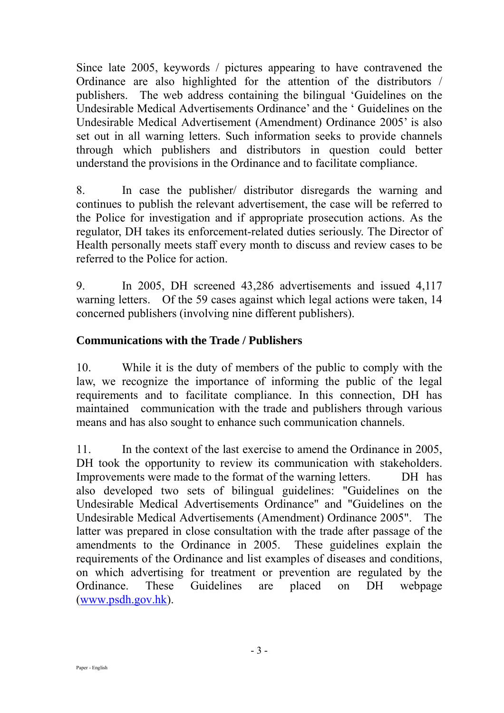Since late 2005, keywords / pictures appearing to have contravened the Ordinance are also highlighted for the attention of the distributors / publishers. The web address containing the bilingual 'Guidelines on the Undesirable Medical Advertisements Ordinance' and the ' Guidelines on the Undesirable Medical Advertisement (Amendment) Ordinance 2005' is also set out in all warning letters. Such information seeks to provide channels through which publishers and distributors in question could better understand the provisions in the Ordinance and to facilitate compliance.

8. In case the publisher/ distributor disregards the warning and continues to publish the relevant advertisement, the case will be referred to the Police for investigation and if appropriate prosecution actions. As the regulator, DH takes its enforcement-related duties seriously. The Director of Health personally meets staff every month to discuss and review cases to be referred to the Police for action.

9. In 2005, DH screened 43,286 advertisements and issued 4,117 warning letters. Of the 59 cases against which legal actions were taken, 14 concerned publishers (involving nine different publishers).

## **Communications with the Trade / Publishers**

10. While it is the duty of members of the public to comply with the law, we recognize the importance of informing the public of the legal requirements and to facilitate compliance. In this connection, DH has maintained communication with the trade and publishers through various means and has also sought to enhance such communication channels.

11. In the context of the last exercise to amend the Ordinance in 2005, DH took the opportunity to review its communication with stakeholders. Improvements were made to the format of the warning letters. DH has also developed two sets of bilingual guidelines: "Guidelines on the Undesirable Medical Advertisements Ordinance" and "Guidelines on the Undesirable Medical Advertisements (Amendment) Ordinance 2005". The latter was prepared in close consultation with the trade after passage of the amendments to the Ordinance in 2005. These guidelines explain the requirements of the Ordinance and list examples of diseases and conditions, on which advertising for treatment or prevention are regulated by the Ordinance. These Guidelines are placed on DH webpage ([www.psdh.gov.hk](http://www.psdh.gov.hk/)).